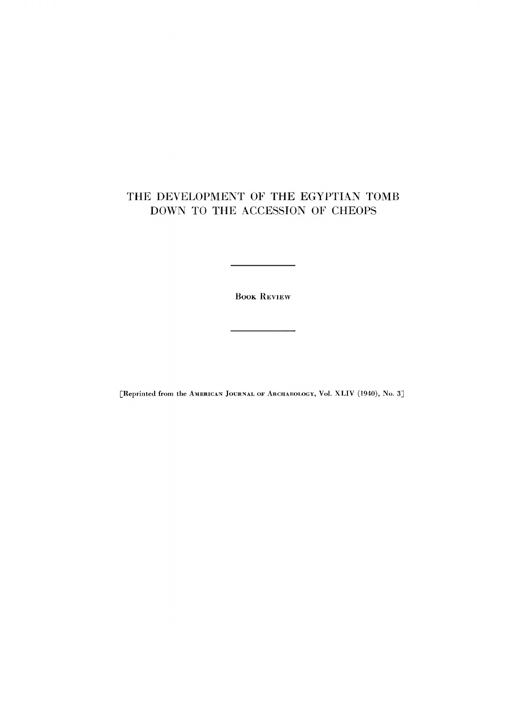## THE DEVELOPMENT OF THE EGYPTIAN TOMB DOWN TO THE ACCESSION OF CHEOPS

**BOOK REVIEW** 

 $\overline{a}$ 

[Reprinted from the AMERICAN JOURNAL OF ARCHAEOLOGY, Vol. XLIV (1940), No. 3]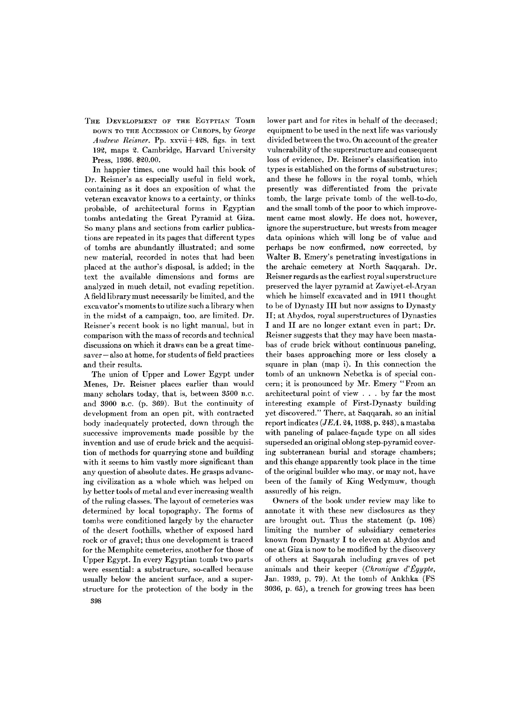THE DEVELOPMENT OF THE EGYPTIAN TOMB **DOWN TO THE ACCESSION OF CHEOPS**, by *George Andrew Reisner.* Pp . xxvii **+428 ,** figs, in text **192 ,** maps **2 .** Cambridge, Harvard University Press, **1936 . \$20.00 .** 

In happier times, one would hail this book of Dr. Reisner's as especially useful in field work, containing as it does an exposition of what the veteran excavator knows to a certainty, or thinks probable, of architectural forms in Egyptian tombs antedating the Great Pyramid at Giza. So many plans and sections from earlier publications are repeated in its pages that different types of tombs are abundantly illustrated; and some new material, recorded in notes that had been placed at the author's disposal, is added; in the text the available dimensions and forms are analyzed in much detail, not evading repetition. **A** field library must necessarily be limited, and the excavator's moments to utilize such a library when in the midst of a campaign, too, are limited. Dr. Reisner's recent book is no light manual, but in comparison with the mass of records and technical discussions on which it draws can be a great timesaver—also at home, for students of field practices and their results.

The union of Upper and Lower Egypt under Menes, Dr. Reisner places earlier than would many scholars today, that is, between 3500 B.C. and **390 0 B.C**. (p. **369) .** Bu t the continuity of development from an open pit, with contracted body inadequately protected, down through the successive improvements made possible by the invention and use of crude brick and the acquisition of methods for quarrying stone and building with it seems to him vastly more significant than any question of absolute dates. He grasps advancing civilization as a whole which was helped on by better tools of metal and ever increasing wealth of the ruling classes. The layout of cemeteries was determined by local topography. The forms of tombs were conditioned largely by the character of the desert foothills, whether of exposed hard rock or of gravel; thus one development is traced for the Memphite cemeteries, another for those of Upper Egypt. In every Egyptian tomb two parts were essential: a substructure, so-called because usually below the ancient surface, and a superstructure for the protection of the body in the

lower part and for rites in behalf of the deceased; equipment to be used in the next life was variously divided between the two. On account of the greater vulnerability of the superstructure and consequent loss of evidence, Dr. Reisner's classification into types is established on the forms of substructures; and these he follows in the royal tomb, which presently was differentiated from the private tomb, the large private tomb of the well-to-do, and the small tomb of the poor to which improvement came most slowly. He does not, however, ignore the superstructure, but wrests from meager data opinions which will long be of value and perhaps be now confirmed, now corrected, by Walter B. Emery's penetrating investigations in the archaic cemetery at North Saqqarah. Dr. Reisner regards as the earliest royal superstructure preserved the layer pyramid at Zawiyet-el-Aryan which he himself excavated and in **191 1** thought to be of Dynasty III but now assigns to Dynasty II; at Abydos, royal superstructures of Dynasties I and II are no longer extant even in part; Dr. Reisner suggests that they may have been mastabas of crude brick without continuous paneling, their bases approaching more or less closely a square in plan (map i). In this connection the tomb of an unknown Nebetka is of special concern; it is pronounced by Mr. Emery "From an architectural point of view .. . by far the most interesting example of First-Dynasty building yet discovered." There, at Saqqarah, so an initial report indicates *(JEA.* **24,1938 ,** p. **243) ,** a mastaba with paneling of palace-fagade type on all sides superseded an original oblong step-pyramid covering subterranean burial and storage chambers; and this change apparently took place in the time of the original builder who may, or may not, have been of the family of King Wedymuw, though assuredly of his reign.

Owners of the book under review may like to annotate it with these new disclosures as they are brought out. Thus the statement (p. **108 )**  limiting the number of subsidiary cemeteries known from Dynasty I to eleven at Abydos and one at Giza is now to be modified by the discovery of others at Saqqarah including graves of pet animals and their keeper *(Chronique d'Egypte,*  Jan. **1939 ,** p. **79).** At the tomb of Ankhka (FS **3036 ,** p. **65) ,** a trench for growing trees has been